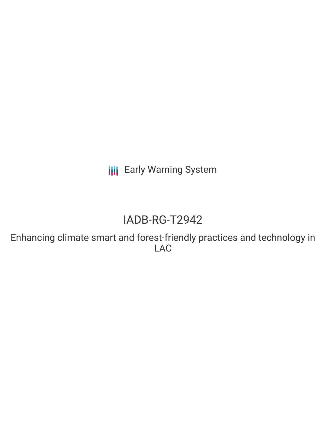**III** Early Warning System

# IADB-RG-T2942

Enhancing climate smart and forest-friendly practices and technology in LAC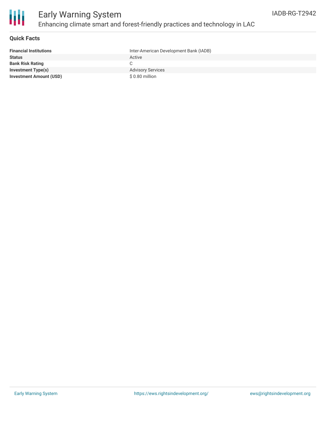

### **Quick Facts**

| <b>Financial Institutions</b>  | Inter-American Development Bank (IADB) |
|--------------------------------|----------------------------------------|
| <b>Status</b>                  | Active                                 |
| <b>Bank Risk Rating</b>        | C                                      |
| <b>Investment Type(s)</b>      | <b>Advisory Services</b>               |
| <b>Investment Amount (USD)</b> | \$0.80 million                         |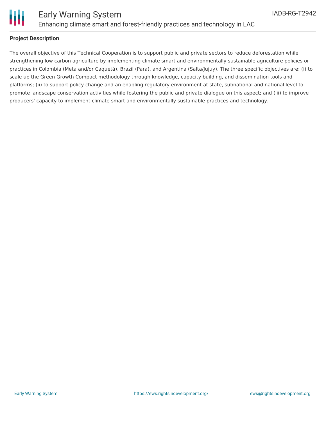

### **Project Description**

The overall objective of this Technical Cooperation is to support public and private sectors to reduce deforestation while strengthening low carbon agriculture by implementing climate smart and environmentally sustainable agriculture policies or practices in Colombia (Meta and/or Caquetá), Brazil (Para), and Argentina (Salta/Jujuy). The three specific objectives are: (i) to scale up the Green Growth Compact methodology through knowledge, capacity building, and dissemination tools and platforms; (ii) to support policy change and an enabling regulatory environment at state, subnational and national level to promote landscape conservation activities while fostering the public and private dialogue on this aspect; and (iii) to improve producers' capacity to implement climate smart and environmentally sustainable practices and technology.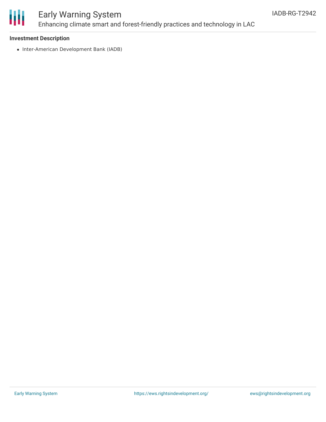

## Early Warning System Enhancing climate smart and forest-friendly practices and technology in LAC

#### **Investment Description**

• Inter-American Development Bank (IADB)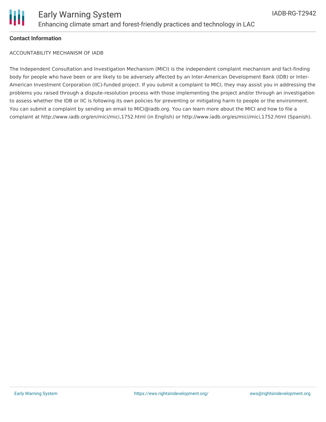

#### **Contact Information**

ACCOUNTABILITY MECHANISM OF IADB

The Independent Consultation and Investigation Mechanism (MICI) is the independent complaint mechanism and fact-finding body for people who have been or are likely to be adversely affected by an Inter-American Development Bank (IDB) or Inter-American Investment Corporation (IIC)-funded project. If you submit a complaint to MICI, they may assist you in addressing the problems you raised through a dispute-resolution process with those implementing the project and/or through an investigation to assess whether the IDB or IIC is following its own policies for preventing or mitigating harm to people or the environment. You can submit a complaint by sending an email to MICI@iadb.org. You can learn more about the MICI and how to file a complaint at http://www.iadb.org/en/mici/mici,1752.html (in English) or http://www.iadb.org/es/mici/mici,1752.html (Spanish).